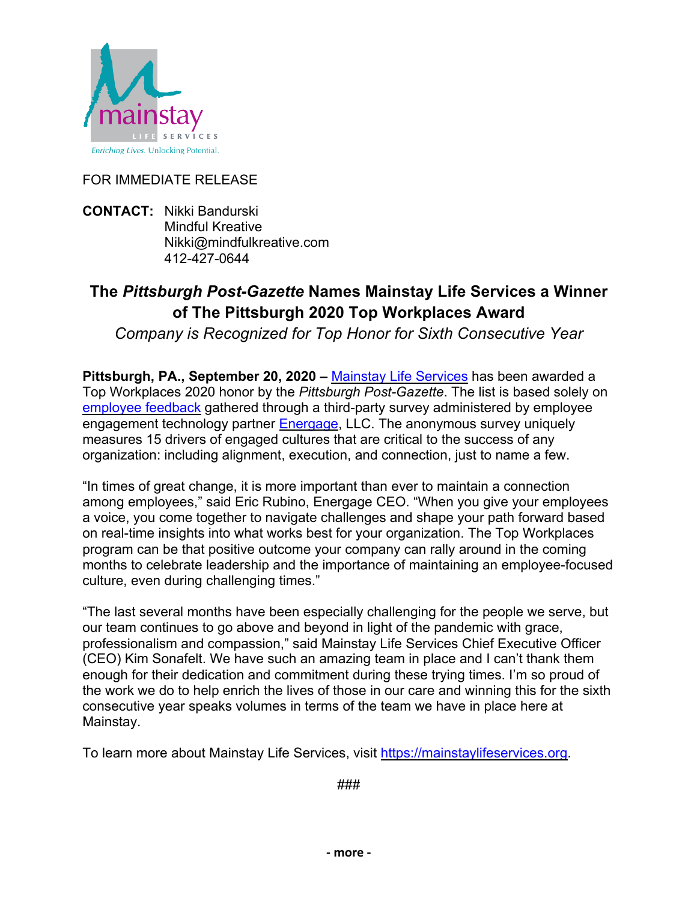

## FOR IMMEDIATE RELEASE

**CONTACT:** Nikki Bandurski Mindful Kreative Nikki@mindfulkreative.com 412-427-0644

## **The** *Pittsburgh Post-Gazette* **Names Mainstay Life Services a Winner of The Pittsburgh 2020 Top Workplaces Award**

*Company is Recognized for Top Honor for Sixth Consecutive Year* 

**Pittsburgh, PA., September 20, 2020 –** Mainstay Life Services has been awarded a Top Workplaces 2020 honor by the *Pittsburgh Post-Gazette*. The list is based solely on employee feedback gathered through a third-party survey administered by employee engagement technology partner **Energage**, LLC. The anonymous survey uniquely measures 15 drivers of engaged cultures that are critical to the success of any organization: including alignment, execution, and connection, just to name a few.

"In times of great change, it is more important than ever to maintain a connection among employees," said Eric Rubino, Energage CEO. "When you give your employees a voice, you come together to navigate challenges and shape your path forward based on real-time insights into what works best for your organization. The Top Workplaces program can be that positive outcome your company can rally around in the coming months to celebrate leadership and the importance of maintaining an employee-focused culture, even during challenging times."

"The last several months have been especially challenging for the people we serve, but our team continues to go above and beyond in light of the pandemic with grace, professionalism and compassion," said Mainstay Life Services Chief Executive Officer (CEO) Kim Sonafelt. We have such an amazing team in place and I can't thank them enough for their dedication and commitment during these trying times. I'm so proud of the work we do to help enrich the lives of those in our care and winning this for the sixth consecutive year speaks volumes in terms of the team we have in place here at Mainstay.

To learn more about Mainstay Life Services, visit https://mainstaylifeservices.org.

###